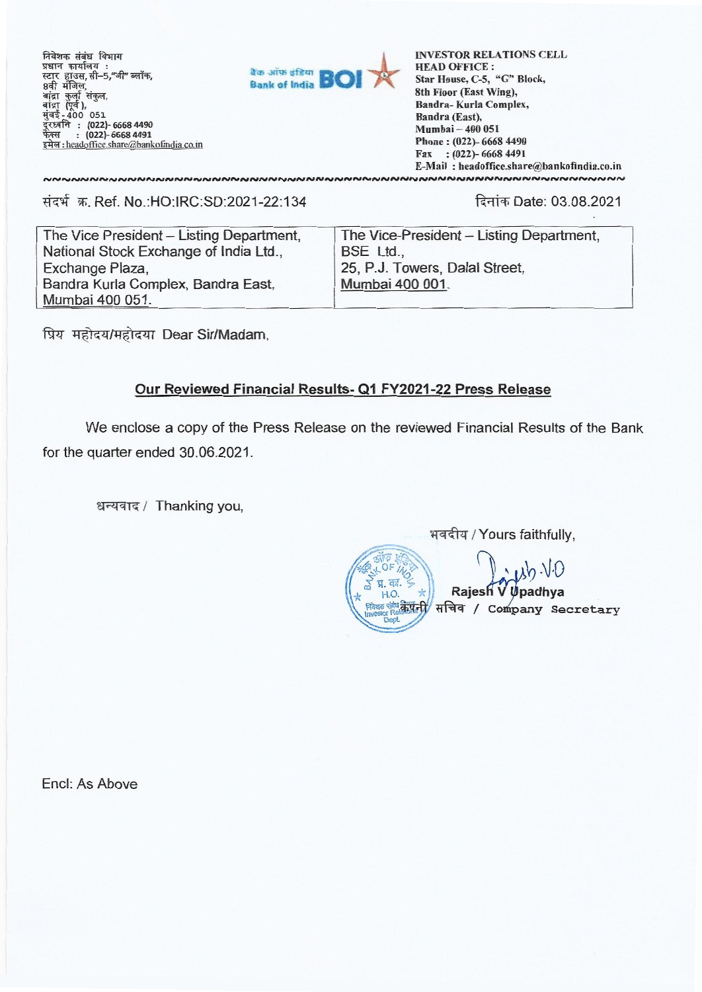निवेशक संबंध विभाग प्रधान कार्यालय स्टार हाउस,सी–5,"जी"<br>8वी मंजिल, oना गान्स,<br>बांद्रा कुर्ला संकुल,<br>बांद्रा (पूर्व), **: (022)- 6668 4490 (022)- 6668 4491**  इमेल: headoffice.share@bankofindia.co.in

NNNNNNNNNNNNNNNNNNNNN



INVESTOR RELATIONS CELL HEAD OFFICE : **Star House, C-5, "G" Block, 8th Floor (East Wing), Bandra- Kurla Complex, Bandra (East), Mumbai — 400 051 Phone : (022)- 6668 4490 Fax : (022)- 6668 4491 E-Mail : headoffice.share@bankofindia.co.in NNNNNNNNNNNNNNNNNNNNNNNNN** 

### संदर्भ क्र. Ref. No.:HO:IRC:SD:2021-22:134

दिनांक Date: 03.08.2021

The Vice President — Listing Department, National Stock Exchange of India Ltd\_, Exchange Plaza, Bandra Kurla Complex, Bandra East, Mumbai 400 051.

The Vice-President — Listing Department, BSE Ltd., 25, P.J. Towers, Dalal Street, Mumbai 400 001\_

प्रिय महोदय/महोदया Dear Sir/Madam,

## **Our Reviewed Financial Results- Q1 FY2021-22 Press Release**

We enclose a copy of the Press Release on the reviewed Financial Results of the Bank for the quarter ended 30.06.2021.

धन्यवाद / Thanking you,

भवदीय / Yours faithfully,  $\left( \begin{matrix} 1 & 0 \\ 0 & 1 \end{matrix} \right)$ **Rajesh Risgo संबंध के प्रांती सचिव / Company Secretary** Dept

Encl: As Above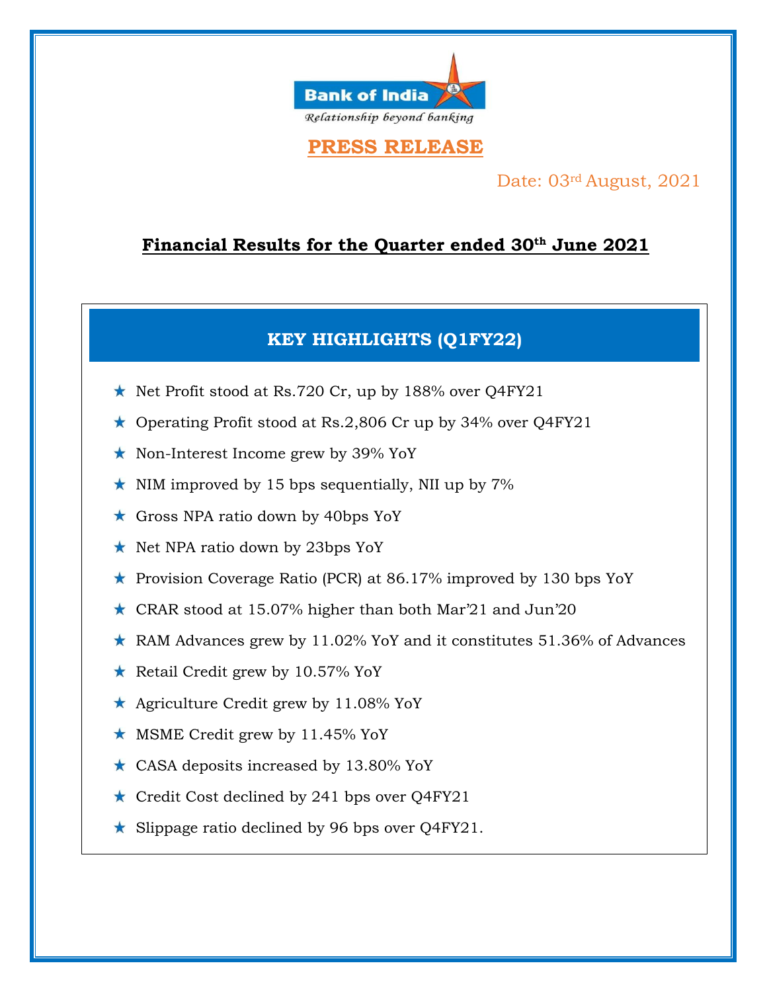

# **PRESS RELEASE**

## Date: 03rd August, 2021

# **Financial Results for the Quarter ended 30th June 2021**

# **KEY HIGHLIGHTS (Q1FY22)**

- $\star$  Net Profit stood at Rs.720 Cr, up by 188% over Q4FY21
- \* Operating Profit stood at Rs.2,806 Cr up by 34% over Q4FY21
- ★ Non-Interest Income grew by 39% YoY
- $\star$  NIM improved by 15 bps sequentially, NII up by 7%
- \* Gross NPA ratio down by 40bps YoY
- ★ Net NPA ratio down by 23bps YoY
- \* Provision Coverage Ratio (PCR) at 86.17% improved by 130 bps YoY
- \* CRAR stood at 15.07% higher than both Mar'21 and Jun'20
- \* RAM Advances grew by 11.02% YoY and it constitutes 51.36% of Advances
- \* Retail Credit grew by 10.57% YoY
- \* Agriculture Credit grew by 11.08% YoY
- $\star$  MSME Credit grew by 11.45% YoY
- \* CASA deposits increased by 13.80% YoY
- \* Credit Cost declined by 241 bps over Q4FY21
- \* Slippage ratio declined by 96 bps over Q4FY21.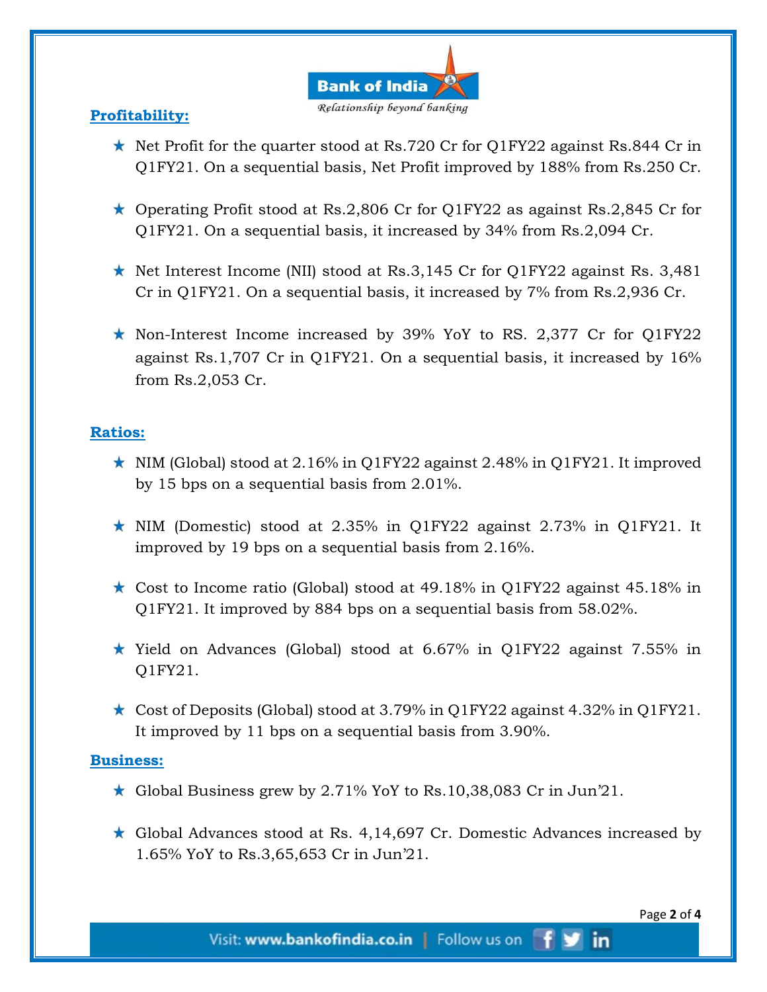

### **Profitability:**

- $\star$  Net Profit for the quarter stood at Rs.720 Cr for Q1FY22 against Rs.844 Cr in Q1FY21. On a sequential basis, Net Profit improved by 188% from Rs.250 Cr.
- $\star$  Operating Profit stood at Rs.2,806 Cr for Q1FY22 as against Rs.2,845 Cr for Q1FY21. On a sequential basis, it increased by 34% from Rs.2,094 Cr.
- Net Interest Income (NII) stood at Rs.3,145 Cr for O1FY22 against Rs. 3,481 Cr in Q1FY21. On a sequential basis, it increased by 7% from Rs.2,936 Cr.
- $\star$  Non-Interest Income increased by 39% YoY to RS. 2,377 Cr for Q1FY22 against Rs.1,707 Cr in Q1FY21. On a sequential basis, it increased by 16% from Rs.2,053 Cr.

### **Ratios:**

- $\star$  NIM (Global) stood at 2.16% in Q1FY22 against 2.48% in Q1FY21. It improved by 15 bps on a sequential basis from 2.01%.
- $\star$  NIM (Domestic) stood at 2.35% in Q1FY22 against 2.73% in Q1FY21. It improved by 19 bps on a sequential basis from 2.16%.
- $\star$  Cost to Income ratio (Global) stood at 49.18% in Q1FY22 against 45.18% in Q1FY21. It improved by 884 bps on a sequential basis from 58.02%.
- $\star$  Yield on Advances (Global) stood at 6.67% in O1FY22 against 7.55% in Q1FY21.
- $\star$  Cost of Deposits (Global) stood at 3.79% in Q1FY22 against 4.32% in Q1FY21. It improved by 11 bps on a sequential basis from 3.90%.

### **Business:**

- \* Global Business grew by 2.71% YoY to Rs.10,38,083 Cr in Jun'21.
- \* Global Advances stood at Rs. 4,14,697 Cr. Domestic Advances increased by 1.65% YoY to Rs.3,65,653 Cr in Jun'21.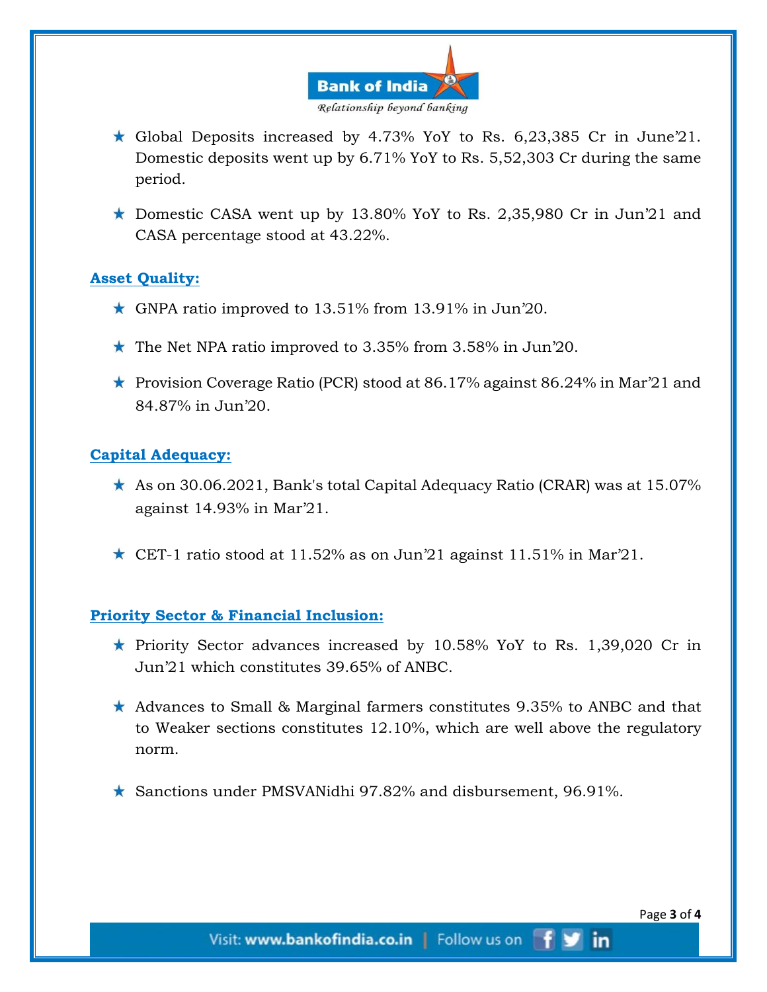

- $\star$  Global Deposits increased by 4.73% YoY to Rs. 6,23,385 Cr in June'21. Domestic deposits went up by 6.71% YoY to Rs. 5,52,303 Cr during the same period.
- **t** Domestic CASA went up by 13.80% YoY to Rs. 2,35,980 Cr in Jun'21 and CASA percentage stood at 43.22%.

### **Asset Quality:**

- $\star$  GNPA ratio improved to 13.51% from 13.91% in Jun'20.
- $\star$  The Net NPA ratio improved to 3.35% from 3.58% in Jun'20.
- **F** Provision Coverage Ratio (PCR) stood at 86.17% against 86.24% in Mar<sup>21</sup> and 84.87% in Jun'20.

### **Capital Adequacy:**

- $\star$  As on 30.06.2021, Bank's total Capital Adequacy Ratio (CRAR) was at 15.07% against 14.93% in Mar'21.
- $\star$  CET-1 ratio stood at 11.52% as on Jun'21 against 11.51% in Mar'21.

#### **Priority Sector & Financial Inclusion:**

- riority Sector advances increased by 10.58% YoY to Rs. 1,39,020 Cr in Jun'21 which constitutes 39.65% of ANBC.
- $\star$  Advances to Small & Marginal farmers constitutes 9.35% to ANBC and that to Weaker sections constitutes 12.10%, which are well above the regulatory norm.
- $\star$  Sanctions under PMSVANidhi 97.82% and disbursement, 96.91%.